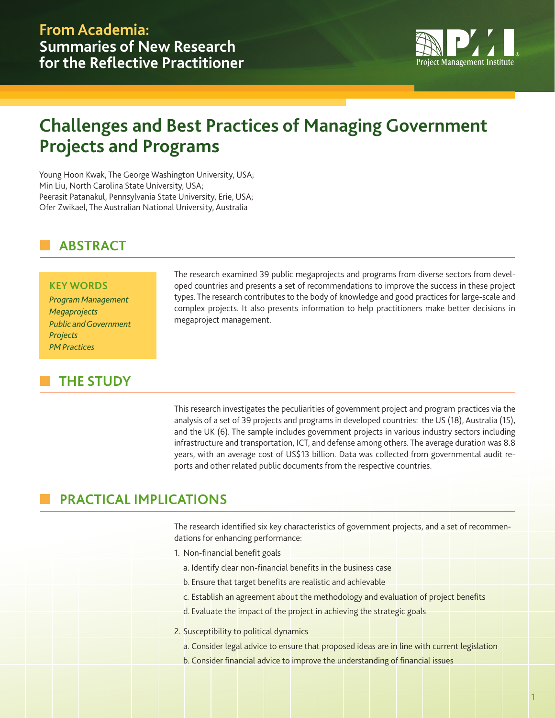

# **Challenges and Best Practices of Managing Government Projects and Programs**

Young Hoon Kwak, The George Washington University, USA; Min Liu, North Carolina State University, USA; Peerasit Patanakul, Pennsylvania State University, Erie, USA; Ofer Zwikael, The Australian National University, Australia

# n **ABSTRACT**

### **KEY WORDS**

*Program Management Megaprojects Public and Government Projects PM Practices*

# **THE STUDY**

The research examined 39 public megaprojects and programs from diverse sectors from developed countries and presents a set of recommendations to improve the success in these project types. The research contributes to the body of knowledge and good practices for large-scale and complex projects. It also presents information to help practitioners make better decisions in megaproject management.

This research investigates the peculiarities of government project and program practices via the analysis of a set of 39 projects and programs in developed countries: the US (18), Australia (15), and the UK (6). The sample includes government projects in various industry sectors including infrastructure and transportation, ICT, and defense among others. The average duration was 8.8 years, with an average cost of US\$13 billion. Data was collected from governmental audit reports and other related public documents from the respective countries.

# n **PRACTICAL IMPLICATIONS**

The research identified six key characteristics of government projects, and a set of recommendations for enhancing performance:

- 1. Non-financial benefit goals
	- a. Identify clear non-financial benefits in the business case
	- b. Ensure that target benefits are realistic and achievable
	- c. Establish an agreement about the methodology and evaluation of project benefits
	- d. Evaluate the impact of the project in achieving the strategic goals
- 2. Susceptibility to political dynamics
	- a. Consider legal advice to ensure that proposed ideas are in line with current legislation
	- b. Consider financial advice to improve the understanding of financial issues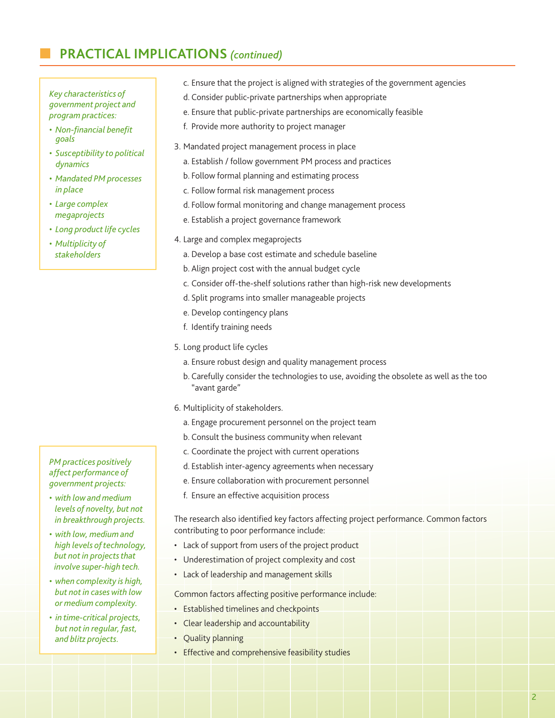# n **PRACTICAL IMPLICATIONS** *(continued)*

*Key characteristics of government project and program practices:*

- *Non-financial benefit goals*
- *Susceptibility to political dynamics*
- *Mandated PM processes in place*
- *Large complex megaprojects*
- *Long product life cycles*
- *Multiplicity of stakeholders*

#### *PM practices positively affect performance of government projects:*

- *with low and medium levels of novelty, but not in breakthrough projects.*
- *with low, medium and high levels of technology, but not in projects that involve super-high tech.*
- *when complexity is high, but not in cases with low or medium complexity.*
- *in time-critical projects, but not in regular, fast, and blitz projects.*
- c. Ensure that the project is aligned with strategies of the government agencies
- d. Consider public-private partnerships when appropriate
- e. Ensure that public-private partnerships are economically feasible
- f. Provide more authority to project manager
- 3. Mandated project management process in place
- a. Establish / follow government PM process and practices
- b. Follow formal planning and estimating process
- c. Follow formal risk management process
- d. Follow formal monitoring and change management process
- e. Establish a project governance framework
- 4. Large and complex megaprojects
	- a. Develop a base cost estimate and schedule baseline
	- b. Align project cost with the annual budget cycle
	- c. Consider off-the-shelf solutions rather than high-risk new developments
	- d. Split programs into smaller manageable projects
	- e. Develop contingency plans
	- f. Identify training needs
- 5. Long product life cycles
	- a. Ensure robust design and quality management process
	- b. Carefully consider the technologies to use, avoiding the obsolete as well as the too "avant garde"
- 6. Multiplicity of stakeholders.
	- a. Engage procurement personnel on the project team
	- b. Consult the business community when relevant
	- c. Coordinate the project with current operations
	- d. Establish inter-agency agreements when necessary
	- e. Ensure collaboration with procurement personnel
	- f. Ensure an effective acquisition process

The research also identified key factors affecting project performance. Common factors contributing to poor performance include:

- Lack of support from users of the project product
- Underestimation of project complexity and cost
- Lack of leadership and management skills

Common factors affecting positive performance include:

- Established timelines and checkpoints
- Clear leadership and accountability
- Quality planning
- Effective and comprehensive feasibility studies